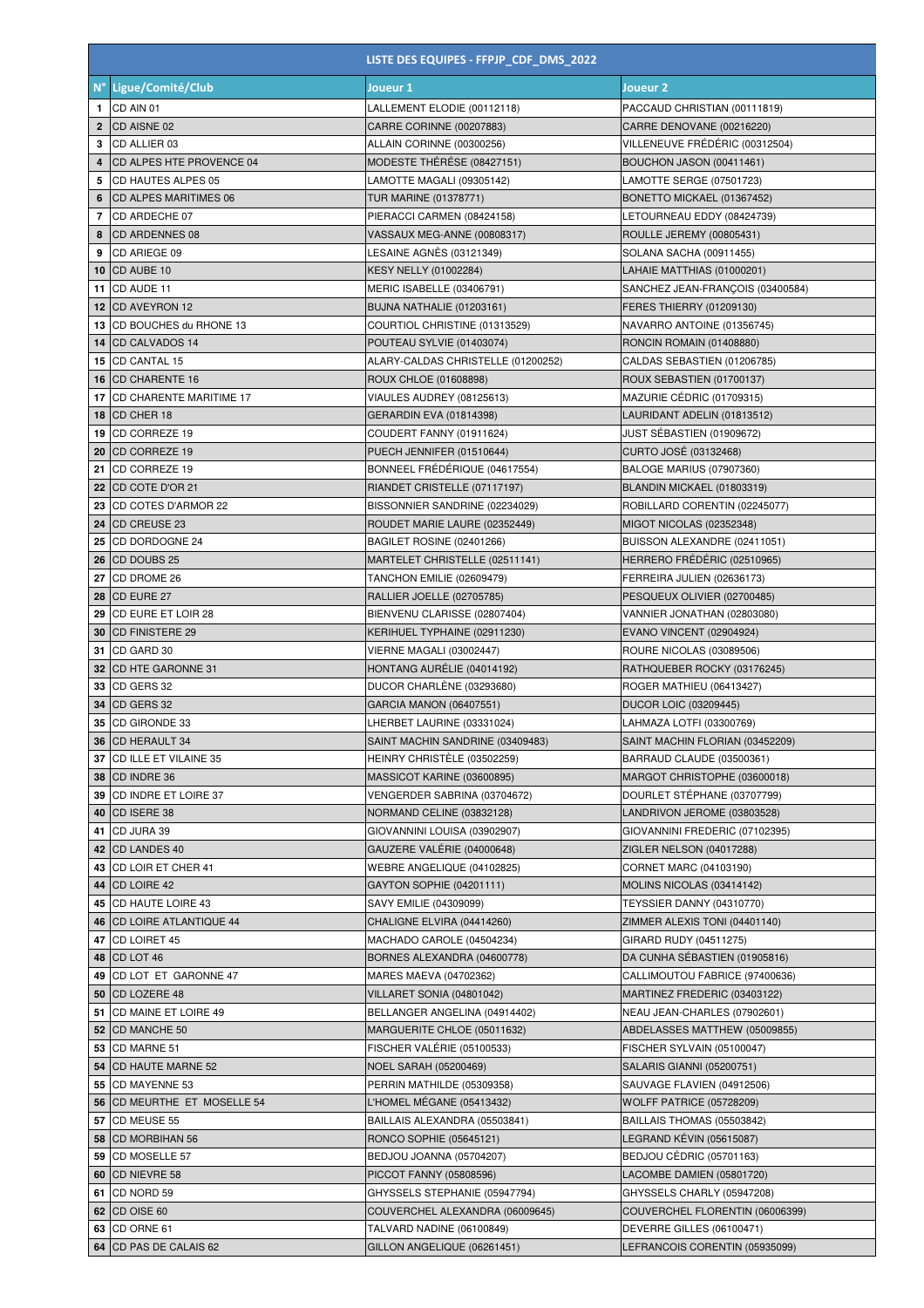|                | LISTE DES EQUIPES - FFPJP_CDF_DMS_2022        |                                                           |                                                                     |
|----------------|-----------------------------------------------|-----------------------------------------------------------|---------------------------------------------------------------------|
| $N^{\circ}$    | Ligue/Comité/Club                             | Joueur 1                                                  | Joueur 2                                                            |
| 1              | CD AIN 01                                     | LALLEMENT ELODIE (00112118)                               | PACCAUD CHRISTIAN (00111819)                                        |
| $\mathbf{2}$   | CD AISNE 02                                   | CARRE CORINNE (00207883)                                  | CARRE DENOVANE (00216220)                                           |
| 3              | CD ALLIER 03                                  | ALLAIN CORINNE (00300256)                                 | VILLENEUVE FRÉDÉRIC (00312504)                                      |
| 4              | CD ALPES HTE PROVENCE 04                      | MODESTE THÉRÉSE (08427151)                                | BOUCHON JASON (00411461)                                            |
| 5              | CD HAUTES ALPES 05                            | LAMOTTE MAGALI (09305142)                                 | LAMOTTE SERGE (07501723)                                            |
| 6              | <b>CD ALPES MARITIMES 06</b>                  | <b>TUR MARINE (01378771)</b>                              | BONETTO MICKAEL (01367452)                                          |
| $\overline{7}$ | CD ARDECHE 07                                 | PIERACCI CARMEN (08424158)                                | LETOURNEAU EDDY (08424739)                                          |
| 8              | <b>CD ARDENNES 08</b>                         | VASSAUX MEG-ANNE (00808317)                               | ROULLE JEREMY (00805431)                                            |
| 9              | CD ARIEGE 09                                  | LESAINE AGNÈS (03121349)                                  | SOLANA SACHA (00911455)                                             |
| 10             | CD AUBE 10                                    | <b>KESY NELLY (01002284)</b>                              | LAHAIE MATTHIAS (01000201)                                          |
|                | <b>11 CD AUDE 11</b><br>12 CD AVEYRON 12      | MERIC ISABELLE (03406791)<br>BUJNA NATHALIE (01203161)    | SANCHEZ JEAN-FRANÇOIS (03400584)<br><b>FERES THIERRY (01209130)</b> |
|                | 13 CD BOUCHES du RHONE 13                     | COURTIOL CHRISTINE (01313529)                             | NAVARRO ANTOINE (01356745)                                          |
|                | <b>14 ICD CALVADOS 14</b>                     | POUTEAU SYLVIE (01403074)                                 | RONCIN ROMAIN (01408880)                                            |
|                | 15 CD CANTAL 15                               | ALARY-CALDAS CHRISTELLE (01200252)                        | CALDAS SEBASTIEN (01206785)                                         |
| 16             | <b>CD CHARENTE 16</b>                         | ROUX CHLOE (01608898)                                     | ROUX SEBASTIEN (01700137)                                           |
| 17             | <b>CD CHARENTE MARITIME 17</b>                | VIAULES AUDREY (08125613)                                 | MAZURIE CEDRIC (01709315)                                           |
|                | <b>18 CD CHER 18</b>                          | GERARDIN EVA (01814398)                                   | LAURIDANT ADELIN (01813512)                                         |
| 19             | CD CORREZE 19                                 | COUDERT FANNY (01911624)                                  | JUST SÉBASTIEN (01909672)                                           |
| 20             | CD CORREZE 19                                 | PUECH JENNIFER (01510644)                                 | CURTO JOSÉ (03132468)                                               |
| 21             | <b>CD CORREZE 19</b>                          | BONNEEL FRÉDÉRIQUE (04617554)                             | <b>BALOGE MARIUS (07907360)</b>                                     |
| 22             | CD COTE D'OR 21                               | RIANDET CRISTELLE (07117197)                              | BLANDIN MICKAEL (01803319)                                          |
| 23             | CD COTES D'ARMOR 22                           | BISSONNIER SANDRINE (02234029)                            | ROBILLARD CORENTIN (02245077)                                       |
| 24             | <b>CD CREUSE 23</b>                           | ROUDET MARIE LAURE (02352449)                             | MIGOT NICOLAS (02352348)                                            |
| 25             | CD DORDOGNE 24                                | BAGILET ROSINE (02401266)                                 | BUISSON ALEXANDRE (02411051)                                        |
| 26             | <b>CD DOUBS 25</b>                            | MARTELET CHRISTELLE (02511141)                            | HERRERO FRÉDÉRIC (02510965)                                         |
| 27             | CD DROME 26                                   | TANCHON EMILIE (02609479)                                 | FERREIRA JULIEN (02636173)                                          |
|                | <b>28 CD EURE 27</b><br>29 CD EURE ET LOIR 28 | RALLIER JOELLE (02705785)<br>BIENVENU CLARISSE (02807404) | PESQUEUX OLIVIER (02700485)<br>VANNIER JONATHAN (02803080)          |
|                | <b>30 ICD FINISTERE 29</b>                    | KERIHUEL TYPHAINE (02911230)                              | <b>EVANO VINCENT (02904924)</b>                                     |
|                | <b>31 ICD GARD 30</b>                         | VIERNE MAGALI (03002447)                                  | ROURE NICOLAS (03089506)                                            |
|                | 32 CD HTE GARONNE 31                          | HONTANG AURÉLIE (04014192)                                | RATHQUEBER ROCKY (03176245)                                         |
|                | 33 CD GERS 32                                 | DUCOR CHARLÈNE (03293680)                                 | ROGER MATHIEU (06413427)                                            |
| 34             | CD GERS 32                                    | GARCIA MANON (06407551)                                   | <b>DUCOR LOIC (03209445)</b>                                        |
| 35             | CD GIRONDE 33                                 | LHERBET LAURINE (03331024)                                | LAHMAZA LOTFI (03300769)                                            |
|                | 36 CD HERAULT 34                              | SAINT MACHIN SANDRINE (03409483)                          | SAINT MACHIN FLORIAN (03452209)                                     |
|                | 37 CD ILLE ET VILAINE 35                      | HEINRY CHRISTÈLE (03502259)                               | BARRAUD CLAUDE (03500361)                                           |
|                | <b>38 CD INDRE 36</b>                         | MASSICOT KARINE (03600895)                                | MARGOT CHRISTOPHE (03600018)                                        |
| 39             | CD INDRE ET LOIRE 37                          | VENGERDER SABRINA (03704672)                              | DOURLET STÉPHANE (03707799)                                         |
| 40             | CD ISERE 38                                   | NORMAND CELINE (03832128)                                 | LANDRIVON JEROME (03803528)                                         |
| 41             | CD JURA 39                                    | GIOVANNINI LOUISA (03902907)                              | GIOVANNINI FREDERIC (07102395)                                      |
| 42<br>43       | <b>CD LANDES 40</b><br>CD LOIR ET CHER 41     | GAUZERE VALÉRIE (04000648)<br>WEBRE ANGELIQUE (04102825)  | ZIGLER NELSON (04017288)<br>CORNET MARC (04103190)                  |
| 44             | <b>CD LOIRE 42</b>                            | GAYTON SOPHIE (04201111)                                  | MOLINS NICOLAS (03414142)                                           |
|                | 45 CD HAUTE LOIRE 43                          | SAVY EMILIE (04309099)                                    | TEYSSIER DANNY (04310770)                                           |
|                | 46   CD LOIRE ATLANTIQUE 44                   | CHALIGNE ELVIRA (04414260)                                | ZIMMER ALEXIS TONI (04401140)                                       |
| 47             | CD LOIRET 45                                  | MACHADO CAROLE (04504234)                                 | GIRARD RUDY (04511275)                                              |
|                | 48 CD LOT 46                                  | BORNES ALEXANDRA (04600778)                               | DA CUNHA SÉBASTIEN (01905816)                                       |
| 49             | CD LOT ET GARONNE 47                          | MARES MAEVA (04702362)                                    | CALLIMOUTOU FABRICE (97400636)                                      |
|                | 50 CD LOZERE 48                               | VILLARET SONIA (04801042)                                 | MARTINEZ FREDERIC (03403122)                                        |
| 51             | CD MAINE ET LOIRE 49                          | BELLANGER ANGELINA (04914402)                             | NEAU JEAN-CHARLES (07902601)                                        |
| 52             | CD MANCHE 50                                  | MARGUERITE CHLOE (05011632)                               | ABDELASSES MATTHEW (05009855)                                       |
| 53             | CD MARNE 51                                   | FISCHER VALÉRIE (05100533)                                | FISCHER SYLVAIN (05100047)                                          |
| 54             | <b>CD HAUTE MARNE 52</b>                      | <b>NOEL SARAH (05200469)</b>                              | SALARIS GIANNI (05200751)                                           |
| 55             | CD MAYENNE 53                                 | PERRIN MATHILDE (05309358)                                | SAUVAGE FLAVIEN (04912506)                                          |
| 56             | CD MEURTHE ET MOSELLE 54                      | L'HOMEL MÉGANE (05413432)                                 | <b>WOLFF PATRICE (05728209)</b>                                     |
| 57             | CD MEUSE 55                                   | BAILLAIS ALEXANDRA (05503841)                             | BAILLAIS THOMAS (05503842)                                          |
| 58<br>59       | <b>CD MORBIHAN 56</b><br>CD MOSELLE 57        | RONCO SOPHIE (05645121)<br>BEDJOU JOANNA (05704207)       | LEGRAND KÉVIN (05615087)<br>BEDJOU CÉDRIC (05701163)                |
| 60             | CD NIEVRE 58                                  | PICCOT FANNY (05808596)                                   | LACOMBE DAMIEN (05801720)                                           |
| 61             | CD NORD 59                                    | GHYSSELS STEPHANIE (05947794)                             | GHYSSELS CHARLY (05947208)                                          |
|                | 62 CD OISE 60                                 | COUVERCHEL ALEXANDRA (06009645)                           | COUVERCHEL FLORENTIN (06006399)                                     |
|                | 63 CD ORNE 61                                 | TALVARD NADINE (06100849)                                 | DEVERRE GILLES (06100471)                                           |
|                | 64 CD PAS DE CALAIS 62                        | GILLON ANGELIQUE (06261451)                               | LEFRANCOIS CORENTIN (05935099)                                      |